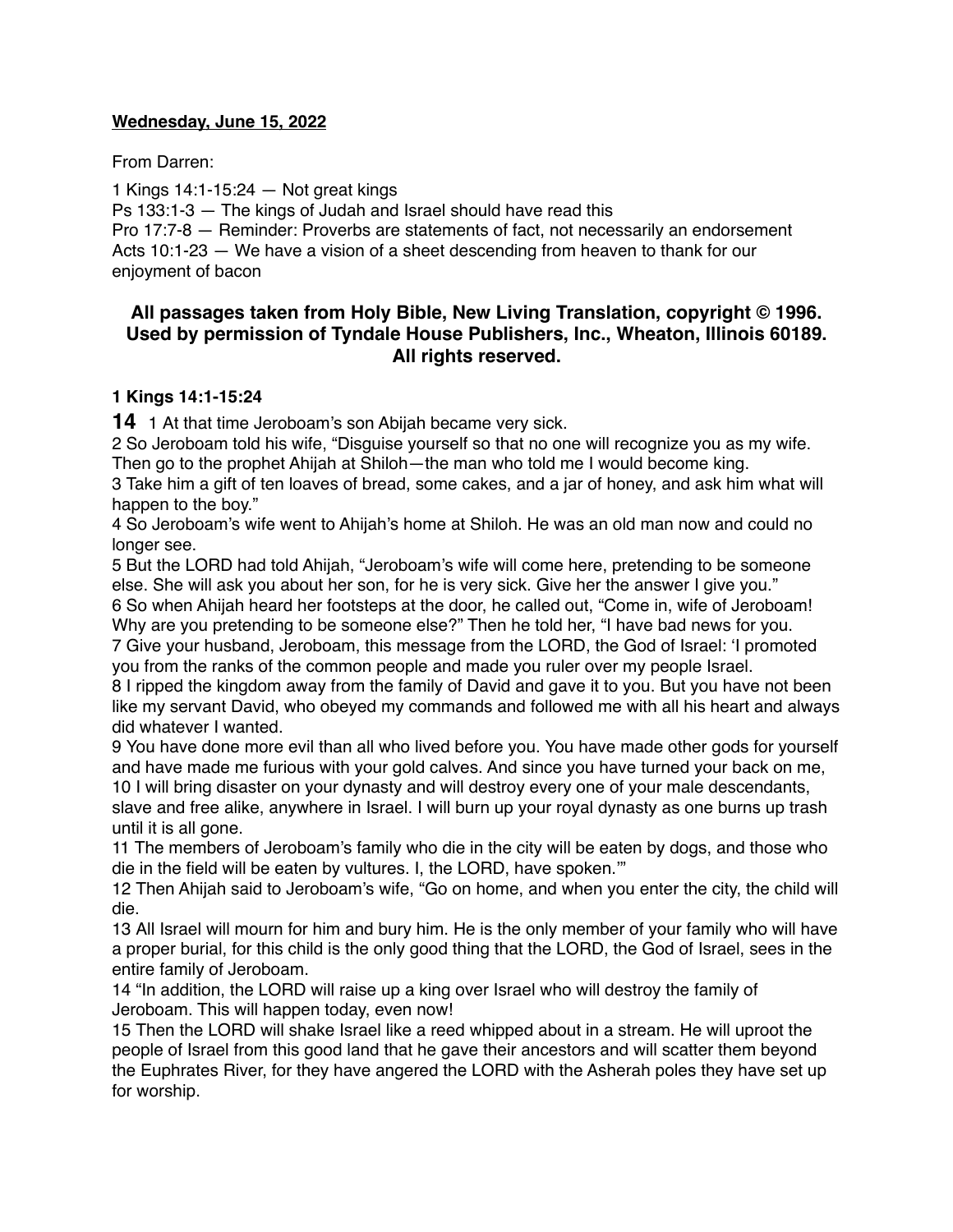### **Wednesday, June 15, 2022**

From Darren:

1 Kings 14:1-15:24 — Not great kings

Ps 133:1-3 — The kings of Judah and Israel should have read this

Pro 17:7-8 — Reminder: Proverbs are statements of fact, not necessarily an endorsement Acts 10:1-23 — We have a vision of a sheet descending from heaven to thank for our enjoyment of bacon

# **All passages taken from Holy Bible, [New Living Translation](http://www.newlivingtranslation.com/), copyright © 1996. Used by permission of [Tyndale House Publishers](http://tyndale.com/), Inc., Wheaton, Illinois 60189. All rights reserved.**

### **1 Kings 14:1-15:24**

**14** 1 At that time Jeroboam's son Abijah became very sick.

2 So Jeroboam told his wife, "Disguise yourself so that no one will recognize you as my wife. Then go to the prophet Ahijah at Shiloh—the man who told me I would become king.

3 Take him a gift of ten loaves of bread, some cakes, and a jar of honey, and ask him what will happen to the boy."

4 So Jeroboam's wife went to Ahijah's home at Shiloh. He was an old man now and could no longer see.

5 But the LORD had told Ahijah, "Jeroboam's wife will come here, pretending to be someone else. She will ask you about her son, for he is very sick. Give her the answer I give you." 6 So when Ahijah heard her footsteps at the door, he called out, "Come in, wife of Jeroboam!

Why are you pretending to be someone else?" Then he told her, "I have bad news for you. 7 Give your husband, Jeroboam, this message from the LORD, the God of Israel: 'I promoted

you from the ranks of the common people and made you ruler over my people Israel. 8 I ripped the kingdom away from the family of David and gave it to you. But you have not been like my servant David, who obeyed my commands and followed me with all his heart and always did whatever I wanted.

9 You have done more evil than all who lived before you. You have made other gods for yourself and have made me furious with your gold calves. And since you have turned your back on me, 10 I will bring disaster on your dynasty and will destroy every one of your male descendants,

slave and free alike, anywhere in Israel. I will burn up your royal dynasty as one burns up trash until it is all gone.

11 The members of Jeroboam's family who die in the city will be eaten by dogs, and those who die in the field will be eaten by vultures. I, the LORD, have spoken.'"

12 Then Ahijah said to Jeroboam's wife, "Go on home, and when you enter the city, the child will die.

13 All Israel will mourn for him and bury him. He is the only member of your family who will have a proper burial, for this child is the only good thing that the LORD, the God of Israel, sees in the entire family of Jeroboam.

14 "In addition, the LORD will raise up a king over Israel who will destroy the family of Jeroboam. This will happen today, even now!

15 Then the LORD will shake Israel like a reed whipped about in a stream. He will uproot the people of Israel from this good land that he gave their ancestors and will scatter them beyond the Euphrates River, for they have angered the LORD with the Asherah poles they have set up for worship.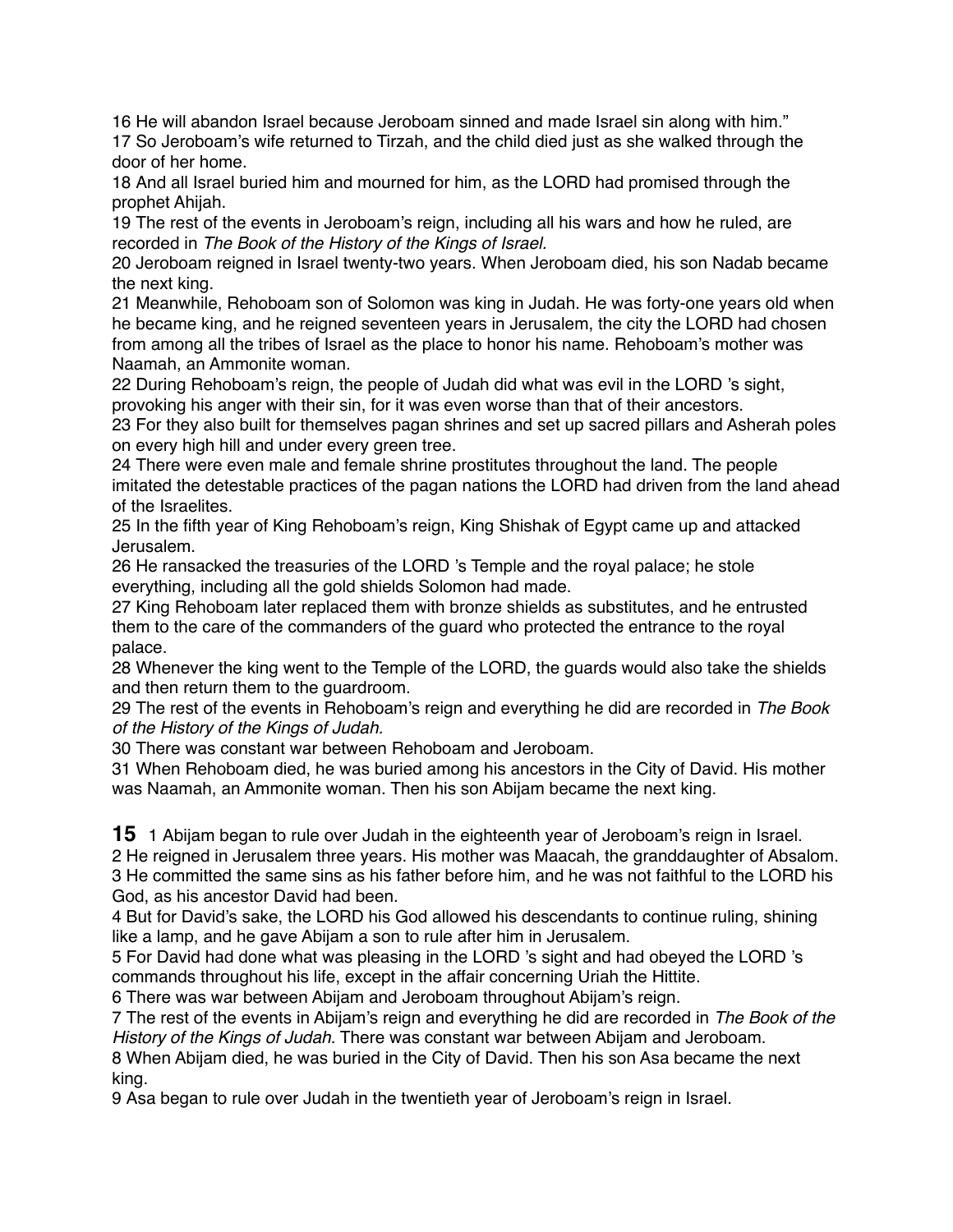16 He will abandon Israel because Jeroboam sinned and made Israel sin along with him." 17 So Jeroboam's wife returned to Tirzah, and the child died just as she walked through the door of her home.

18 And all Israel buried him and mourned for him, as the LORD had promised through the prophet Ahijah.

19 The rest of the events in Jeroboam's reign, including all his wars and how he ruled, are recorded in *The Book of the History of the Kings of Israel.*

20 Jeroboam reigned in Israel twenty-two years. When Jeroboam died, his son Nadab became the next king.

21 Meanwhile, Rehoboam son of Solomon was king in Judah. He was forty-one years old when he became king, and he reigned seventeen years in Jerusalem, the city the LORD had chosen from among all the tribes of Israel as the place to honor his name. Rehoboam's mother was Naamah, an Ammonite woman.

22 During Rehoboam's reign, the people of Judah did what was evil in the LORD 's sight, provoking his anger with their sin, for it was even worse than that of their ancestors.

23 For they also built for themselves pagan shrines and set up sacred pillars and Asherah poles on every high hill and under every green tree.

24 There were even male and female shrine prostitutes throughout the land. The people imitated the detestable practices of the pagan nations the LORD had driven from the land ahead of the Israelites.

25 In the fifth year of King Rehoboam's reign, King Shishak of Egypt came up and attacked Jerusalem.

26 He ransacked the treasuries of the LORD 's Temple and the royal palace; he stole everything, including all the gold shields Solomon had made.

27 King Rehoboam later replaced them with bronze shields as substitutes, and he entrusted them to the care of the commanders of the guard who protected the entrance to the royal palace.

28 Whenever the king went to the Temple of the LORD, the guards would also take the shields and then return them to the guardroom.

29 The rest of the events in Rehoboam's reign and everything he did are recorded in *The Book of the History of the Kings of Judah.*

30 There was constant war between Rehoboam and Jeroboam.

31 When Rehoboam died, he was buried among his ancestors in the City of David. His mother was Naamah, an Ammonite woman. Then his son Abijam became the next king.

**15** 1 Abijam began to rule over Judah in the eighteenth year of Jeroboam's reign in Israel.

2 He reigned in Jerusalem three years. His mother was Maacah, the granddaughter of Absalom. 3 He committed the same sins as his father before him, and he was not faithful to the LORD his God, as his ancestor David had been.

4 But for David's sake, the LORD his God allowed his descendants to continue ruling, shining like a lamp, and he gave Abijam a son to rule after him in Jerusalem.

5 For David had done what was pleasing in the LORD 's sight and had obeyed the LORD 's commands throughout his life, except in the affair concerning Uriah the Hittite.

6 There was war between Abijam and Jeroboam throughout Abijam's reign.

7 The rest of the events in Abijam's reign and everything he did are recorded in *The Book of the History of the Kings of Judah.* There was constant war between Abijam and Jeroboam.

8 When Abijam died, he was buried in the City of David. Then his son Asa became the next king.

9 Asa began to rule over Judah in the twentieth year of Jeroboam's reign in Israel.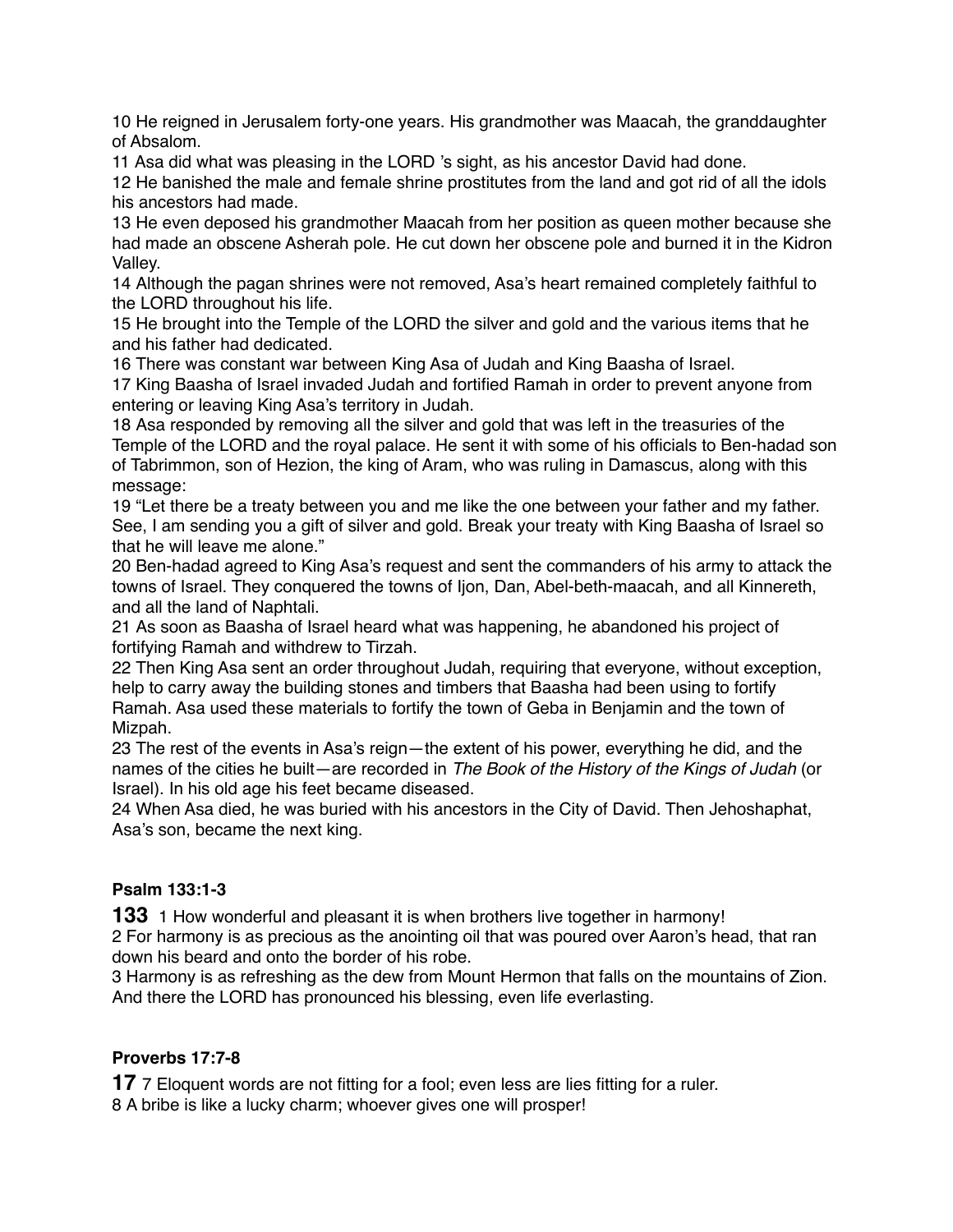10 He reigned in Jerusalem forty-one years. His grandmother was Maacah, the granddaughter of Absalom.

11 Asa did what was pleasing in the LORD 's sight, as his ancestor David had done.

12 He banished the male and female shrine prostitutes from the land and got rid of all the idols his ancestors had made.

13 He even deposed his grandmother Maacah from her position as queen mother because she had made an obscene Asherah pole. He cut down her obscene pole and burned it in the Kidron Valley.

14 Although the pagan shrines were not removed, Asa's heart remained completely faithful to the LORD throughout his life.

15 He brought into the Temple of the LORD the silver and gold and the various items that he and his father had dedicated.

16 There was constant war between King Asa of Judah and King Baasha of Israel.

17 King Baasha of Israel invaded Judah and fortified Ramah in order to prevent anyone from entering or leaving King Asa's territory in Judah.

18 Asa responded by removing all the silver and gold that was left in the treasuries of the Temple of the LORD and the royal palace. He sent it with some of his officials to Ben-hadad son of Tabrimmon, son of Hezion, the king of Aram, who was ruling in Damascus, along with this message:

19 "Let there be a treaty between you and me like the one between your father and my father. See, I am sending you a gift of silver and gold. Break your treaty with King Baasha of Israel so that he will leave me alone."

20 Ben-hadad agreed to King Asa's request and sent the commanders of his army to attack the towns of Israel. They conquered the towns of Ijon, Dan, Abel-beth-maacah, and all Kinnereth, and all the land of Naphtali.

21 As soon as Baasha of Israel heard what was happening, he abandoned his project of fortifying Ramah and withdrew to Tirzah.

22 Then King Asa sent an order throughout Judah, requiring that everyone, without exception, help to carry away the building stones and timbers that Baasha had been using to fortify Ramah. Asa used these materials to fortify the town of Geba in Benjamin and the town of Mizpah.

23 The rest of the events in Asa's reign—the extent of his power, everything he did, and the names of the cities he built—are recorded in *The Book of the History of the Kings of Judah* (or Israel). In his old age his feet became diseased.

24 When Asa died, he was buried with his ancestors in the City of David. Then Jehoshaphat, Asa's son, became the next king.

# **Psalm 133:1-3**

**133** 1 How wonderful and pleasant it is when brothers live together in harmony! 2 For harmony is as precious as the anointing oil that was poured over Aaron's head, that ran down his beard and onto the border of his robe.

3 Harmony is as refreshing as the dew from Mount Hermon that falls on the mountains of Zion. And there the LORD has pronounced his blessing, even life everlasting.

# **Proverbs 17:7-8**

**17** 7 Eloquent words are not fitting for a fool; even less are lies fitting for a ruler.

8 A bribe is like a lucky charm; whoever gives one will prosper!